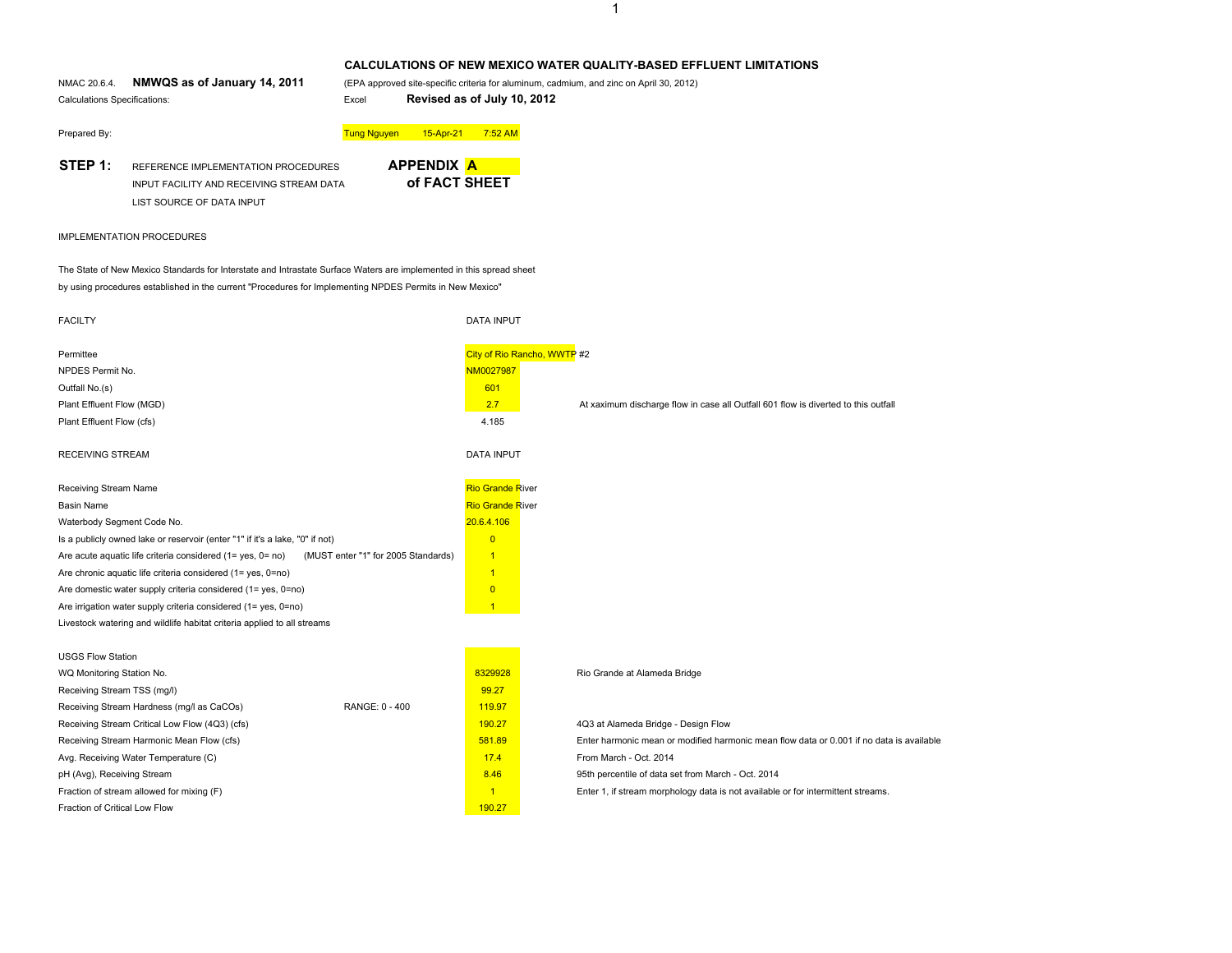# **CALCULATIONS OF NEW MEXICO WATER QUALITY-BASED EFFLUENT LIMITATIONS**

NMAC 20.6.4. NMWQS as of January 14, 2011 Calculations Specifications: Excel **Revised as of July 10, 2012**

**NMWQS as of January 14, 2011** (EPA approved site-specific criteria for aluminum, cadmium, and zinc on April 30, 2012)

Prepared By: Tung Nguyen 15-Apr-21 7:52 AM

**STEP 1:** REFERENCE IMPLEMENTATION PROCEDURESINPUT FACILITY AND RECEIVING STREAM DATALIST SOURCE OF DATA INPUT



## IMPLEMENTATION PROCEDURES

The State of New Mexico Standards for Interstate and Intrastate Surface Waters are implemented in this spread sheet by using procedures established in the current "Procedures for Implementing NPDES Permits in New Mexico"

| <b>FACILTY</b>                                                                                    | <b>DATA INPUT</b>                                                                                  |  |
|---------------------------------------------------------------------------------------------------|----------------------------------------------------------------------------------------------------|--|
| Permittee                                                                                         | City of Rio Rancho, WWTP #2                                                                        |  |
| NPDES Permit No.                                                                                  | NM0027987                                                                                          |  |
| Outfall No.(s)                                                                                    | 601                                                                                                |  |
| Plant Effluent Flow (MGD)                                                                         | 2.7<br>At xaximum discharge flow in case all Outfall 601 flow is diverted to this outfall          |  |
| Plant Effluent Flow (cfs)                                                                         | 4.185                                                                                              |  |
| <b>RECEIVING STREAM</b>                                                                           | <b>DATA INPUT</b>                                                                                  |  |
| Receiving Stream Name                                                                             | <b>Rio Grande River</b>                                                                            |  |
| <b>Basin Name</b>                                                                                 | <b>Rio Grande River</b>                                                                            |  |
| Waterbody Segment Code No.                                                                        | 20.6.4.106                                                                                         |  |
| Is a publicly owned lake or reservoir (enter "1" if it's a lake, "0" if not)                      | $\overline{0}$                                                                                     |  |
| Are acute aquatic life criteria considered (1= yes, 0= no)<br>(MUST enter "1" for 2005 Standards) | $\overline{1}$                                                                                     |  |
| Are chronic aquatic life criteria considered (1= yes, 0=no)                                       | $\mathbf{1}$                                                                                       |  |
| Are domestic water supply criteria considered (1= yes, 0=no)                                      | $\overline{0}$                                                                                     |  |
| Are irrigation water supply criteria considered (1= yes, 0=no)                                    | $\overline{1}$                                                                                     |  |
| Livestock watering and wildlife habitat criteria applied to all streams                           |                                                                                                    |  |
|                                                                                                   |                                                                                                    |  |
| <b>USGS Flow Station</b>                                                                          |                                                                                                    |  |
| WQ Monitoring Station No.                                                                         | 8329928<br>Rio Grande at Alameda Bridge                                                            |  |
| Receiving Stream TSS (mg/l)                                                                       | 99.27                                                                                              |  |
| RANGE: 0 - 400<br>Receiving Stream Hardness (mg/l as CaCOs)                                       | 119.97                                                                                             |  |
| Receiving Stream Critical Low Flow (4Q3) (cfs)                                                    | 190.27<br>4Q3 at Alameda Bridge - Design Flow                                                      |  |
| Receiving Stream Harmonic Mean Flow (cfs)                                                         | 581.89<br>Enter harmonic mean or modified harmonic mean flow data or 0.001 if no data is available |  |
| Avg. Receiving Water Temperature (C)                                                              | 17.4<br>From March - Oct. 2014                                                                     |  |
| pH (Avg), Receiving Stream                                                                        | 8.46<br>95th percentile of data set from March - Oct. 2014                                         |  |
| Fraction of stream allowed for mixing (F)                                                         | $\overline{1}$<br>Enter 1, if stream morphology data is not available or for intermittent streams. |  |
| Fraction of Critical Low Flow                                                                     | 190.27                                                                                             |  |

# 1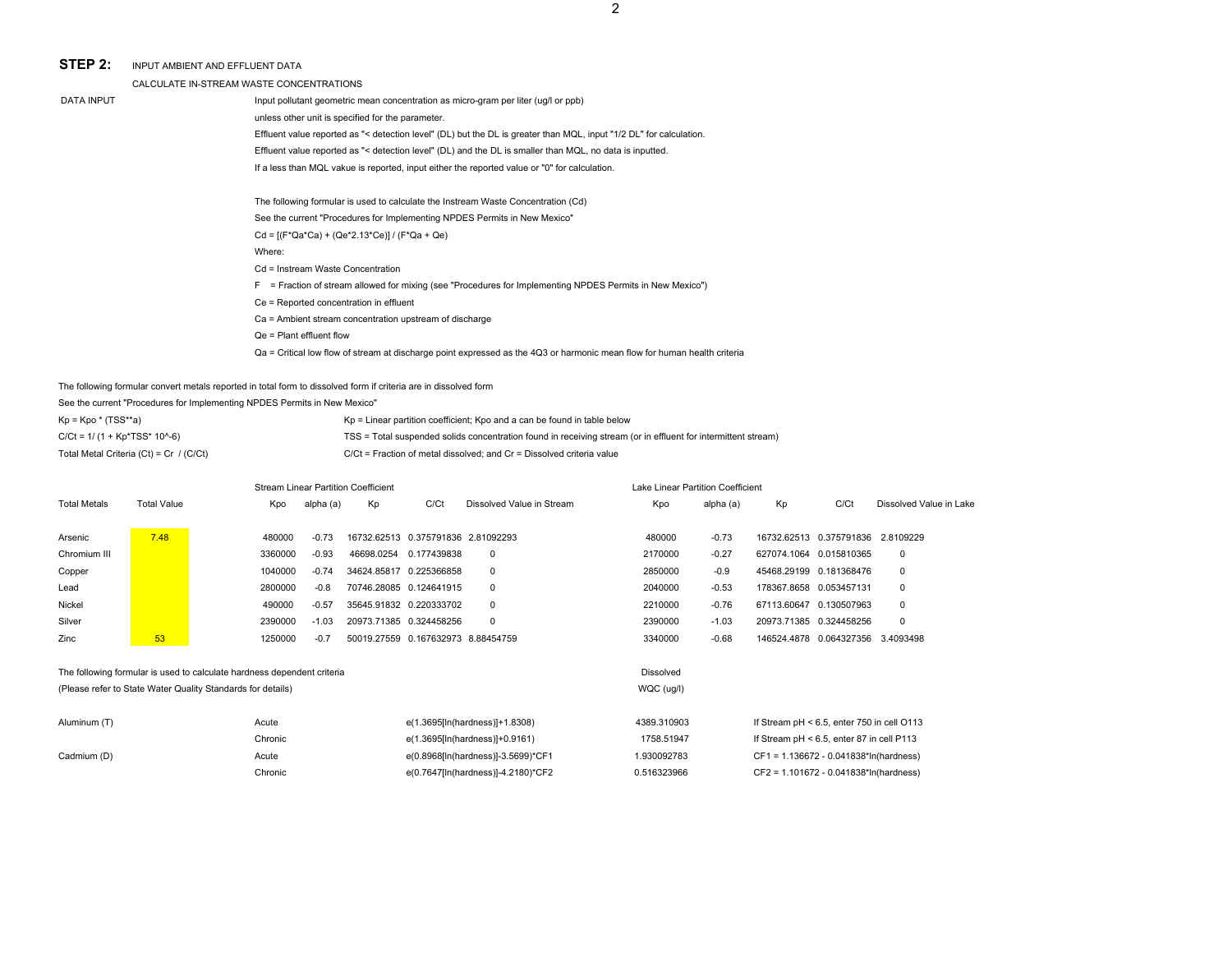2

### **STEP 2:**INPUT AMBIENT AND EFFLUENT DATA

CALCULATE IN-STREAM WASTE CONCENTRATIONS

| A LE IN-STREAM WASTE CONCENTRATIONS. |  |  |
|--------------------------------------|--|--|
|                                      |  |  |

DATA INPUT **Input pollutant geometric mean concentration as micro-gram per liter (ug/l or ppb)** 

unless other unit is specified for the parameter.

Effluent value reported as "< detection level" (DL) but the DL is greater than MQL, input "1/2 DL" for calculation.

Effluent value reported as "< detection level" (DL) and the DL is smaller than MQL, no data is inputted.

If a less than MQL vakue is reported, input either the reported value or "0" for calculation.

The following formular is used to calculate the Instream Waste Concentration (Cd)

See the current "Procedures for Implementing NPDES Permits in New Mexico"

Cd = [(F\*Qa\*Ca) + (Qe\*2.13\*Ce)] / (F\*Qa + Qe)

Where:

Cd = Instream Waste Concentration

F = Fraction of stream allowed for mixing (see "Procedures for Implementing NPDES Permits in New Mexico")

Ce = Reported concentration in effluent

Ca = Ambient stream concentration upstream of discharge

Qe = Plant effluent flow

Qa = Critical low flow of stream at discharge point expressed as the 4Q3 or harmonic mean flow for human health criteria

The following formular convert metals reported in total form to dissolved form if criteria are in dissolved form

See the current "Procedures for Implementing NPDES Permits in New Mexico"

| $Kp = Kpo * (TSS**a)$                     | $Kp =$ Linear partition coefficient; Kpo and a can be found in table below                                    |
|-------------------------------------------|---------------------------------------------------------------------------------------------------------------|
| $C/Ct = 1/(1 + Kp^*TSS^* 10^{0.6})$       | TSS = Total suspended solids concentration found in receiving stream (or in effluent for intermittent stream) |
| Total Metal Criteria $(Ct) = Cr / (C/Ct)$ | $C/Ct$ = Fraction of metal dissolved: and $Cr =$ Dissolved criteria value                                     |

|                     |                    |                                                                         |           | <b>Stream Linear Partition Coefficient</b> |             |                           | Lake Linear Partition Coefficient |           |                         |                                     |                         |  |  |  |  |
|---------------------|--------------------|-------------------------------------------------------------------------|-----------|--------------------------------------------|-------------|---------------------------|-----------------------------------|-----------|-------------------------|-------------------------------------|-------------------------|--|--|--|--|
| <b>Total Metals</b> | <b>Total Value</b> | Kpo                                                                     | alpha (a) | Kp                                         | C/Ct        | Dissolved Value in Stream | Kpo                               | alpha (a) | Kp                      | C/Ct                                | Dissolved Value in Lake |  |  |  |  |
| Arsenic             | 7.48               | 480000                                                                  | $-0.73$   | 16732.62513  0.375791836  2.81092293       |             |                           | 480000                            | $-0.73$   |                         | 16732.62513  0.375791836  2.8109229 |                         |  |  |  |  |
| Chromium III        |                    | 3360000                                                                 | $-0.93$   | 46698.0254                                 | 0.177439838 | $\mathbf 0$               | 2170000                           | $-0.27$   |                         | 627074.1064 0.015810365             | 0                       |  |  |  |  |
| Copper              |                    | 1040000                                                                 | $-0.74$   | 34624.85817                                | 0.225366858 | $\mathbf 0$               | 2850000                           | $-0.9$    |                         | 45468.29199 0.181368476             | 0                       |  |  |  |  |
| Lead                |                    | 2800000                                                                 | $-0.8$    | 70746.28085 0.124641915                    |             | $\mathbf 0$               | 2040000                           | $-0.53$   | 178367.8658 0.053457131 |                                     | 0                       |  |  |  |  |
| Nickel              |                    | 490000                                                                  | $-0.57$   | 35645.91832 0.220333702                    |             | $\mathbf 0$               | 2210000                           | $-0.76$   |                         | 67113.60647 0.130507963             | 0                       |  |  |  |  |
| Silver              |                    | 2390000                                                                 | $-1.03$   | 20973.71385 0.324458256                    |             | $\mathbf 0$               | 2390000                           | $-1.03$   |                         | 20973.71385 0.324458256             | 0                       |  |  |  |  |
| Zinc                | 53                 | 1250000                                                                 | $-0.7$    | 50019.27559  0.167632973  8.88454759       |             |                           | 3340000                           | $-0.68$   |                         | 146524.4878  0.064327356  3.4093498 |                         |  |  |  |  |
|                     |                    |                                                                         |           |                                            |             |                           |                                   |           |                         |                                     |                         |  |  |  |  |
|                     |                    | The following formular is used to calculate hardness dependent criteria |           |                                            |             |                           | <b>Dissolved</b>                  |           |                         |                                     |                         |  |  |  |  |

Chronic e(0.7647[ln(hardness)]-4.2180)\*CF2 0.516323966 CF2 = 1.101672 - 0.041838\*ln(hardness)

(Please refer to State Water Quality Standards for details) WQC (ug/l)

| Aluminum (T) | Acute   | e(1.3695[In(hardness)]+1.8308)     | 4389.310903 | If Stream $pH < 6.5$ , enter 750 in cell O113 |
|--------------|---------|------------------------------------|-------------|-----------------------------------------------|
|              | Chronic | e(1.3695[ln(hardness)]+0.9161)     | 1758.51947  | If Stream $pH < 6.5$ , enter 87 in cell P113  |
| Cadmium (D)  | Acute   | e(0.8968[In(hardness)]-3.5699)*CF1 | 1.930092783 | CF1 = 1.136672 - 0.041838*ln(hardness)        |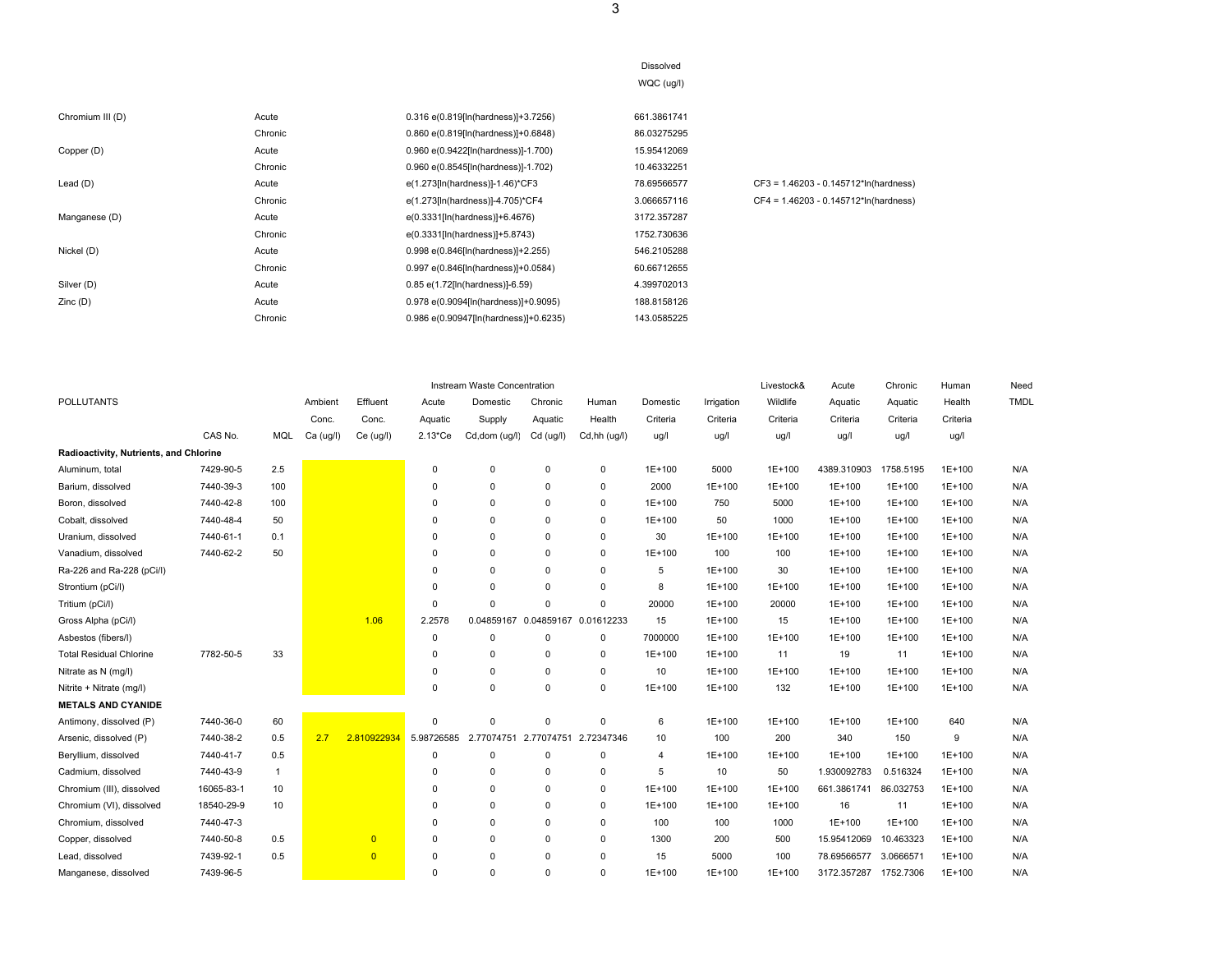| Chromium III (D) | Acute   | 0.316 e(0.819[ln(hardness)]+3.7256)   | 661.3861741 |                                          |
|------------------|---------|---------------------------------------|-------------|------------------------------------------|
|                  | Chronic | 0.860 e(0.819[ln(hardness)]+0.6848)   | 86.03275295 |                                          |
| Copper (D)       | Acute   | 0.960 e(0.9422[ln(hardness)]-1.700)   | 15.95412069 |                                          |
|                  | Chronic | 0.960 e(0.8545[ln(hardness)]-1.702)   | 10.46332251 |                                          |
| Lead $(D)$       | Acute   | e(1.273[ln(hardness)]-1.46)*CF3       | 78.69566577 | $CF3 = 1.46203 - 0.145712^*ln(hardness)$ |
|                  | Chronic | e(1.273[In(hardness)]-4.705)*CF4      | 3.066657116 | $CF4 = 1.46203 - 0.145712*ln(hardness)$  |
| Manganese (D)    | Acute   | e(0.3331[ln(hardness)]+6.4676)        | 3172.357287 |                                          |
|                  | Chronic | e(0.3331[ln(hardness)]+5.8743)        | 1752.730636 |                                          |
| Nickel (D)       | Acute   | 0.998 e(0.846[ln(hardness)]+2.255)    | 546.2105288 |                                          |
|                  | Chronic | 0.997 e(0.846[ln(hardness)]+0.0584)   | 60.66712655 |                                          |
| Silver (D)       | Acute   | 0.85 e(1.72[ln(hardness)]-6.59)       | 4.399702013 |                                          |
| Zinc(D)          | Acute   | 0.978 e(0.9094[ln(hardness)]+0.9095)  | 188.8158126 |                                          |
|                  | Chronic | 0.986 e(0.90947[In(hardness)]+0.6235) | 143.0585225 |                                          |

|                                        |            |     |           |                |                        | Instream Waste Concentration |             |              |          |            | Livestock& | Acute       | Chronic    | Human    | Need        |
|----------------------------------------|------------|-----|-----------|----------------|------------------------|------------------------------|-------------|--------------|----------|------------|------------|-------------|------------|----------|-------------|
| <b>POLLUTANTS</b>                      |            |     | Ambient   | Effluent       | Acute                  | Domestic                     | Chronic     | Human        | Domestic | Irrigation | Wildlife   | Aquatic     | Aquatic    | Health   | <b>TMDL</b> |
|                                        |            |     | Conc.     | Conc.          | Aquatic                | Supply                       | Aquatic     | Health       | Criteria | Criteria   | Criteria   | Criteria    | Criteria   | Criteria |             |
|                                        | CAS No.    | MQL | Ca (ug/l) | Ce (ug/l)      | $2.13$ <sup>*</sup> Ce | Cd,dom (ug/l)                | Cd (ug/l)   | Cd,hh (ug/l) | ug/l     | ug/l       | ug/l       | ug/l        | ug/l       | ug/l     |             |
| Radioactivity, Nutrients, and Chlorine |            |     |           |                |                        |                              |             |              |          |            |            |             |            |          |             |
| Aluminum, total                        | 7429-90-5  | 2.5 |           |                | $\mathbf 0$            | $\Omega$                     | $\mathbf 0$ | $\mathbf 0$  | $1E+100$ | 5000       | 1E+100     | 4389.310903 | 1758.5195  | 1E+100   | N/A         |
| Barium, dissolved                      | 7440-39-3  | 100 |           |                | 0                      | $\Omega$                     | 0           | $\mathbf 0$  | 2000     | 1E+100     | 1E+100     | 1E+100      | 1E+100     | 1E+100   | N/A         |
| Boron, dissolved                       | 7440-42-8  | 100 |           |                | $\Omega$               | $\Omega$                     | $\Omega$    | $\mathbf 0$  | $1E+100$ | 750        | 5000       | 1E+100      | 1E+100     | 1E+100   | N/A         |
| Cobalt, dissolved                      | 7440-48-4  | 50  |           |                | $\Omega$               | $\Omega$                     | $\Omega$    | $\mathbf 0$  | 1E+100   | 50         | 1000       | 1E+100      | $1E+100$   | 1E+100   | N/A         |
| Uranium, dissolved                     | 7440-61-1  | 0.1 |           |                | $\Omega$               | $\Omega$                     | $\Omega$    | $\mathbf 0$  | 30       | 1E+100     | 1E+100     | 1E+100      | 1E+100     | 1E+100   | N/A         |
| Vanadium, dissolved                    | 7440-62-2  | 50  |           |                | $\Omega$               | $\Omega$                     | $\Omega$    | $\mathbf 0$  | $1E+100$ | 100        | 100        | 1E+100      | $1E+100$   | 1E+100   | N/A         |
| Ra-226 and Ra-228 (pCi/l)              |            |     |           |                | O                      | $\Omega$                     | $\mathbf 0$ | $\mathbf 0$  | 5        | 1E+100     | 30         | 1E+100      | $1E+100$   | 1E+100   | N/A         |
| Strontium (pCi/l)                      |            |     |           |                | $\Omega$               | $\Omega$                     | $\Omega$    | $\mathbf 0$  | 8        | 1E+100     | 1E+100     | $1E+100$    | 1E+100     | 1E+100   | N/A         |
| Tritium (pCi/l)                        |            |     |           |                | $\Omega$               | $\Omega$                     | $\Omega$    | $\mathbf 0$  | 20000    | $1E+100$   | 20000      | 1E+100      | 1E+100     | 1E+100   | N/A         |
| Gross Alpha (pCi/l)                    |            |     |           | 1.06           | 2.2578                 | 0.04859167                   | 0.04859167  | 0.01612233   | 15       | 1E+100     | 15         | $1E+100$    | 1E+100     | 1E+100   | N/A         |
| Asbestos (fibers/l)                    |            |     |           |                | 0                      | $\Omega$                     | 0           | $\mathbf 0$  | 7000000  | 1E+100     | 1E+100     | 1E+100      | $1E + 100$ | 1E+100   | N/A         |
| <b>Total Residual Chlorine</b>         | 7782-50-5  | 33  |           |                | $\Omega$               | $\Omega$                     | $\Omega$    | $\mathbf 0$  | 1E+100   | 1E+100     | 11         | 19          | 11         | 1E+100   | N/A         |
| Nitrate as N (mg/l)                    |            |     |           |                | $\Omega$               | $\Omega$                     | $\Omega$    | $\mathbf 0$  | 10       | 1E+100     | 1E+100     | 1E+100      | 1E+100     | 1E+100   | N/A         |
| Nitrite + Nitrate (mg/l)               |            |     |           |                | $\mathbf 0$            | $\Omega$                     | $\Omega$    | $\mathbf 0$  | $1E+100$ | $1E+100$   | 132        | 1E+100      | $1E+100$   | 1E+100   | N/A         |
| <b>METALS AND CYANIDE</b>              |            |     |           |                |                        |                              |             |              |          |            |            |             |            |          |             |
| Antimony, dissolved (P)                | 7440-36-0  | 60  |           |                | 0                      | $\Omega$                     | $\mathbf 0$ | 0            | 6        | 1E+100     | 1E+100     | 1E+100      | $1E+100$   | 640      | N/A         |
| Arsenic, dissolved (P)                 | 7440-38-2  | 0.5 | 2.7       | 2.810922934    | 5.98726585             | 2.77074751                   | 2.77074751  | 2.72347346   | 10       | 100        | 200        | 340         | 150        | 9        | N/A         |
| Beryllium, dissolved                   | 7440-41-7  | 0.5 |           |                | 0                      | $\mathbf 0$                  | 0           | 0            | 4        | 1E+100     | $1E+100$   | 1E+100      | $1E+100$   | 1E+100   | N/A         |
| Cadmium, dissolved                     | 7440-43-9  | -1  |           |                | $\Omega$               | $\Omega$                     | $\Omega$    | $\mathbf 0$  | 5        | 10         | 50         | 1.930092783 | 0.516324   | 1E+100   | N/A         |
| Chromium (III), dissolved              | 16065-83-1 | 10  |           |                | $\Omega$               | $\Omega$                     | $\Omega$    | $\mathbf 0$  | $1E+100$ | 1E+100     | 1E+100     | 661.3861741 | 86.032753  | 1E+100   | N/A         |
| Chromium (VI), dissolved               | 18540-29-9 | 10  |           |                | $\Omega$               | $\Omega$                     | $\Omega$    | $\mathbf 0$  | $1E+100$ | 1E+100     | 1E+100     | 16          | 11         | 1E+100   | N/A         |
| Chromium, dissolved                    | 7440-47-3  |     |           |                | $\Omega$               | $\Omega$                     | $\Omega$    | $\mathbf 0$  | 100      | 100        | 1000       | $1E+100$    | 1E+100     | 1E+100   | N/A         |
| Copper, dissolved                      | 7440-50-8  | 0.5 |           | $\overline{0}$ | 0                      | $\Omega$                     | $\Omega$    | $\mathbf 0$  | 1300     | 200        | 500        | 15.95412069 | 10.463323  | 1E+100   | N/A         |
| Lead, dissolved                        | 7439-92-1  | 0.5 |           | $\overline{0}$ | $\Omega$               | $\Omega$                     | $\Omega$    | $\mathbf 0$  | 15       | 5000       | 100        | 78.69566577 | 3.0666571  | 1E+100   | N/A         |
| Manganese, dissolved                   | 7439-96-5  |     |           |                | $\Omega$               | $\Omega$                     | $\Omega$    | $\Omega$     | $1E+100$ | 1E+100     | 1E+100     | 3172.357287 | 1752.7306  | 1E+100   | N/A         |

Dissolved WQC (ug/l)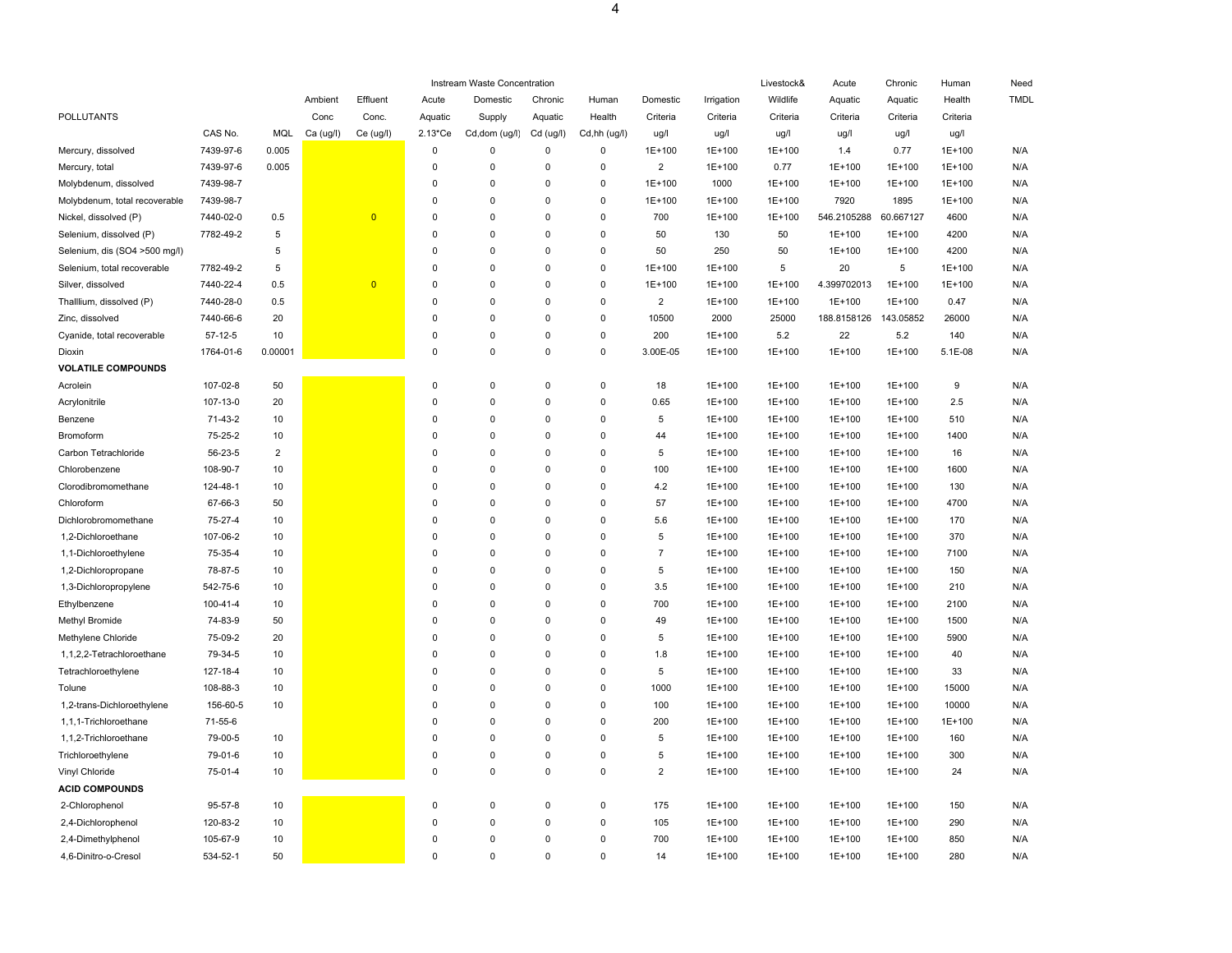|                               |           |            |           |                |                        | Instream Waste Concentration |             |              |                |            | Livestock& | Acute       | Chronic   | Human    | Need        |
|-------------------------------|-----------|------------|-----------|----------------|------------------------|------------------------------|-------------|--------------|----------------|------------|------------|-------------|-----------|----------|-------------|
|                               |           |            | Ambient   | Effluent       | Acute                  | Domestic                     | Chronic     | Human        | Domestic       | Irrigation | Wildlife   | Aquatic     | Aquatic   | Health   | <b>TMDL</b> |
| POLLUTANTS                    |           |            | Conc      | Conc.          | Aquatic                | Supply                       | Aquatic     | Health       | Criteria       | Criteria   | Criteria   | Criteria    | Criteria  | Criteria |             |
|                               | CAS No.   | MQL        | Ca (ug/l) | Ce (ug/l)      | $2.13$ <sup>*</sup> Ce | Cd, dom (ug/l)               | Cd (ug/l)   | Cd,hh (ug/l) | ug/l           | ug/l       | ug/l       | ug/l        | ug/l      | ug/l     |             |
| Mercury, dissolved            | 7439-97-6 | 0.005      |           |                | $\mathbf 0$            | 0                            | $\mathsf 0$ | $\pmb{0}$    | 1E+100         | 1E+100     | 1E+100     | 1.4         | 0.77      | 1E+100   | N/A         |
| Mercury, total                | 7439-97-6 | 0.005      |           |                | $\Omega$               | 0                            | 0           | 0            | $\overline{2}$ | 1E+100     | 0.77       | 1E+100      | 1E+100    | 1E+100   | N/A         |
| Molybdenum, dissolved         | 7439-98-7 |            |           |                | $\Omega$               | $\mathbf 0$                  | $\Omega$    | $\Omega$     | 1E+100         | 1000       | 1E+100     | 1E+100      | 1E+100    | 1E+100   | N/A         |
| Molybdenum, total recoverable | 7439-98-7 |            |           |                | $\Omega$               | 0                            | 0           | 0            | 1E+100         | 1E+100     | 1E+100     | 7920        | 1895      | 1E+100   | N/A         |
| Nickel, dissolved (P)         | 7440-02-0 | 0.5        |           | $\overline{0}$ | $\Omega$               | 0                            | 0           | 0            | 700            | 1E+100     | 1E+100     | 546.2105288 | 60.667127 | 4600     | N/A         |
| Selenium, dissolved (P)       | 7782-49-2 | $\sqrt{5}$ |           |                | $\Omega$               | $\pmb{0}$                    | $\Omega$    | $\Omega$     | 50             | 130        | 50         | $1E+100$    | 1E+100    | 4200     | N/A         |
| Selenium, dis (SO4 >500 mg/l) |           | 5          |           |                | $\Omega$               | 0                            | 0           | 0            | 50             | 250        | 50         | 1E+100      | 1E+100    | 4200     | N/A         |
| Selenium, total recoverable   | 7782-49-2 | 5          |           |                | $\Omega$               | 0                            | $\Omega$    | $\Omega$     | 1E+100         | 1E+100     | 5          | 20          | 5         | 1E+100   | N/A         |
| Silver, dissolved             | 7440-22-4 | 0.5        |           | $\overline{0}$ | $\Omega$               | $\pmb{0}$                    | 0           | 0            | 1E+100         | 1E+100     | 1E+100     | 4.399702013 | 1E+100    | 1E+100   | N/A         |
| Thalllium, dissolved (P)      | 7440-28-0 | 0.5        |           |                | $\Omega$               | 0                            | 0           | 0            | $\overline{2}$ | 1E+100     | 1E+100     | 1E+100      | 1E+100    | 0.47     | N/A         |
| Zinc, dissolved               | 7440-66-6 | 20         |           |                | $\Omega$               | 0                            | $\Omega$    | $\mathbf 0$  | 10500          | 2000       | 25000      | 188.8158126 | 143.05852 | 26000    | N/A         |
| Cyanide, total recoverable    | $57-12-5$ | 10         |           |                | $\Omega$               | 0                            | 0           | 0            | 200            | 1E+100     | 5.2        | 22          | 5.2       | 140      | N/A         |
| Dioxin                        | 1764-01-6 | 0.00001    |           |                | $\Omega$               | $\Omega$                     | $\Omega$    | $\Omega$     | 3.00E-05       | 1E+100     | 1E+100     | 1E+100      | 1E+100    | 5.1E-08  | N/A         |
| <b>VOLATILE COMPOUNDS</b>     |           |            |           |                |                        |                              |             |              |                |            |            |             |           |          |             |
| Acrolein                      | 107-02-8  | 50         |           |                | $\mathbf 0$            | 0                            | 0           | 0            | 18             | 1E+100     | 1E+100     | 1E+100      | 1E+100    | 9        | N/A         |
| Acrylonitrile                 | 107-13-0  | 20         |           |                | $\Omega$               | 0                            | 0           | $\Omega$     | 0.65           | 1E+100     | 1E+100     | 1E+100      | 1E+100    | 2.5      | N/A         |
| Benzene                       | 71-43-2   | 10         |           |                | $\Omega$               | 0                            | 0           | 0            | 5              | 1E+100     | 1E+100     | 1E+100      | 1E+100    | 510      | N/A         |
| Bromoform                     | 75-25-2   | 10         |           |                | $\Omega$               | $\mathbf 0$                  | $\mathbf 0$ | 0            | 44             | 1E+100     | 1E+100     | 1E+100      | 1E+100    | 1400     | N/A         |
| Carbon Tetrachloride          | 56-23-5   | $\sqrt{2}$ |           |                | $\Omega$               | $\pmb{0}$                    | $\mathbf 0$ | $\mathbf 0$  | 5              | 1E+100     | 1E+100     | $1E+100$    | 1E+100    | 16       | N/A         |
| Chlorobenzene                 | 108-90-7  | 10         |           |                | $\Omega$               | 0                            | $\Omega$    | 0            | 100            | 1E+100     | 1E+100     | 1E+100      | 1E+100    | 1600     | N/A         |
| Clorodibromomethane           | 124-48-1  | 10         |           |                | $\Omega$               | $\mathbf 0$                  | $\Omega$    | $\Omega$     | 4.2            | 1E+100     | 1E+100     | 1E+100      | 1E+100    | 130      | N/A         |
| Chloroform                    | 67-66-3   | 50         |           |                | $\Omega$               | $\pmb{0}$                    | 0           | 0            | 57             | 1E+100     | 1E+100     | 1E+100      | 1E+100    | 4700     | N/A         |
| Dichlorobromomethane          | 75-27-4   | 10         |           |                | $\Omega$               | 0                            | 0           | 0            | 5.6            | 1E+100     | 1E+100     | 1E+100      | 1E+100    | 170      | N/A         |
| 1,2-Dichloroethane            | 107-06-2  | 10         |           |                | $\Omega$               | $\pmb{0}$                    | 0           | $\mathbf 0$  | 5              | 1E+100     | $1E+100$   | $1E+100$    | 1E+100    | 370      | N/A         |
| 1,1-Dichloroethylene          | 75-35-4   | 10         |           |                | $\Omega$               | 0                            | $\Omega$    | $\Omega$     | $\overline{7}$ | 1E+100     | 1E+100     | 1E+100      | 1E+100    | 7100     | N/A         |
| 1,2-Dichloropropane           | 78-87-5   | 10         |           |                | $\Omega$               | $\Omega$                     | $\Omega$    | $\Omega$     | 5              | 1E+100     | $1E+100$   | 1E+100      | 1E+100    | 150      | N/A         |
| 1,3-Dichloropropylene         | 542-75-6  | 10         |           |                | $\Omega$               | $\pmb{0}$                    | 0           | 0            | 3.5            | 1E+100     | 1E+100     | 1E+100      | 1E+100    | 210      | N/A         |
| Ethylbenzene                  | 100-41-4  | 10         |           |                | $\Omega$               | 0                            | $\mathbf 0$ | 0            | 700            | 1E+100     | 1E+100     | 1E+100      | 1E+100    | 2100     | N/A         |
| Methyl Bromide                | 74-83-9   | 50         |           |                | $\Omega$               | $\mathbf 0$                  | 0           | 0            | 49             | 1E+100     | 1E+100     | 1E+100      | 1E+100    | 1500     | N/A         |
| Methylene Chloride            | 75-09-2   | 20         |           |                | $\Omega$               | 0                            | $\Omega$    | 0            | 5              | 1E+100     | 1E+100     | 1E+100      | 1E+100    | 5900     | N/A         |
| 1,1,2,2-Tetrachloroethane     | 79-34-5   | 10         |           |                | $\Omega$               | $\Omega$                     | $\Omega$    | $\Omega$     | 1.8            | 1E+100     | $1E+100$   | 1E+100      | 1E+100    | 40       | N/A         |
| Tetrachloroethylene           | 127-18-4  | 10         |           |                | $\Omega$               | $\pmb{0}$                    | 0           | $\mathsf 0$  | 5              | 1E+100     | 1E+100     | 1E+100      | 1E+100    | 33       | N/A         |
| Tolune                        | 108-88-3  | 10         |           |                | $\Omega$               | 0                            | $\mathbf 0$ | 0            | 1000           | 1E+100     | 1E+100     | 1E+100      | 1E+100    | 15000    | N/A         |
| 1,2-trans-Dichloroethylene    | 156-60-5  | 10         |           |                | $\Omega$               | $\mathbf 0$                  | 0           | $\pmb{0}$    | 100            | 1E+100     | 1E+100     | 1E+100      | 1E+100    | 10000    | N/A         |
| 1,1,1-Trichloroethane         | 71-55-6   |            |           |                | $\Omega$               | $\mathbf 0$                  | 0           | 0            | 200            | 1E+100     | 1E+100     | 1E+100      | 1E+100    | 1E+100   | N/A         |
| 1,1,2-Trichloroethane         | 79-00-5   | 10         |           |                | $\Omega$               | 0                            | $\Omega$    | $\Omega$     | 5              | 1E+100     | 1E+100     | 1E+100      | 1E+100    | 160      | N/A         |
| Trichloroethylene             | 79-01-6   | 10         |           |                | $\Omega$               | $\pmb{0}$                    | 0           | 0            | 5              | 1E+100     | 1E+100     | 1E+100      | 1E+100    | 300      | N/A         |
| Vinyl Chloride                | 75-01-4   | 10         |           |                | $\Omega$               | 0                            | 0           | 0            | $\overline{2}$ | 1E+100     | 1E+100     | 1E+100      | 1E+100    | 24       | N/A         |
| <b>ACID COMPOUNDS</b>         |           |            |           |                |                        |                              |             |              |                |            |            |             |           |          |             |
| 2-Chlorophenol                | 95-57-8   | 10         |           |                | $\Omega$               | 0                            | 0           | 0            | 175            | 1E+100     | 1E+100     | 1E+100      | 1E+100    | 150      | N/A         |
| 2,4-Dichlorophenol            | 120-83-2  | 10         |           |                | $\mathbf 0$            | 0                            | 0           | 0            | 105            | 1E+100     | 1E+100     | 1E+100      | 1E+100    | 290      | N/A         |
| 2,4-Dimethylphenol            | 105-67-9  | $10$       |           |                | $\Omega$               | $\pmb{0}$                    | $\Omega$    | 0            | 700            | 1E+100     | 1E+100     | $1E+100$    | 1E+100    | 850      | N/A         |
| 4,6-Dinitro-o-Cresol          | 534-52-1  | 50         |           |                | $\Omega$               | $\mathbf 0$                  | 0           | 0            | 14             | 1E+100     | 1E+100     | 1E+100      | 1E+100    | 280      | N/A         |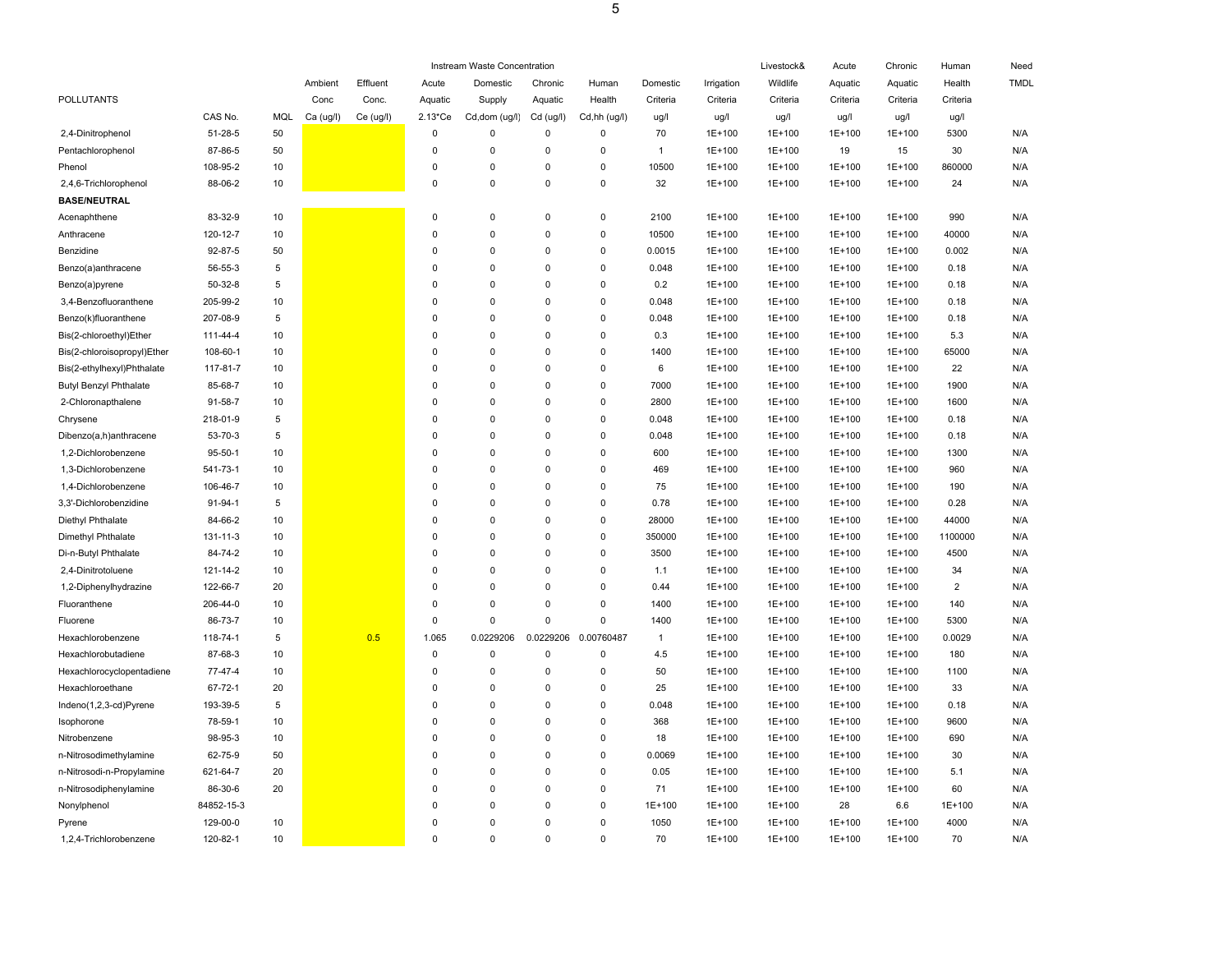|                               |               |            |           |           |                   | Instream Waste Concentration |             |              |              |            | Livestock& | Acute    | Chronic  | Human          | Need        |
|-------------------------------|---------------|------------|-----------|-----------|-------------------|------------------------------|-------------|--------------|--------------|------------|------------|----------|----------|----------------|-------------|
|                               |               |            | Ambient   | Effluent  | Acute             | Domestic                     | Chronic     | Human        | Domestic     | Irrigation | Wildlife   | Aquatic  | Aquatic  | Health         | <b>TMDL</b> |
| POLLUTANTS                    |               |            | Conc      | Conc.     | Aquatic           | Supply                       | Aquatic     | Health       | Criteria     | Criteria   | Criteria   | Criteria | Criteria | Criteria       |             |
|                               | CAS No.       | MQL        | Ca (ug/l) | Ce (ug/l) | $2.13 \text{*Ce}$ | Cd,dom (ug/l)                | Cd (ug/l)   | Cd,hh (ug/l) | ug/l         | ug/l       | ug/l       | ug/l     | ug/l     | ug/l           |             |
| 2,4-Dinitrophenol             | 51-28-5       | 50         |           |           | $\mathbf 0$       | $\mathbf 0$                  | $\mathbf 0$ | 0            | 70           | 1E+100     | 1E+100     | 1E+100   | 1E+100   | 5300           | N/A         |
| Pentachlorophenol             | 87-86-5       | 50         |           |           | $\mathbf 0$       | $\Omega$                     | 0           | $\mathbf 0$  | $\mathbf{1}$ | 1E+100     | $1E+100$   | 19       | 15       | 30             | N/A         |
| Phenol                        | 108-95-2      | $10$       |           |           | $\mathbf 0$       | $\mathbf 0$                  | 0           | 0            | 10500        | 1E+100     | 1E+100     | 1E+100   | 1E+100   | 860000         | N/A         |
| 2,4,6-Trichlorophenol         | 88-06-2       | 10         |           |           | $\mathbf 0$       | $\Omega$                     | $\mathbf 0$ | 0            | 32           | 1E+100     | 1E+100     | 1E+100   | $1E+100$ | 24             | N/A         |
| <b>BASE/NEUTRAL</b>           |               |            |           |           |                   |                              |             |              |              |            |            |          |          |                |             |
| Acenaphthene                  | 83-32-9       | 10         |           |           | $\pmb{0}$         | $\Omega$                     | $\mathbf 0$ | $\Omega$     | 2100         | $1E+100$   | 1E+100     | 1E+100   | 1E+100   | 990            | N/A         |
| Anthracene                    | 120-12-7      | 10         |           |           | $\mathbf 0$       | $\Omega$                     | $\mathbf 0$ | $\mathbf 0$  | 10500        | 1E+100     | 1E+100     | 1E+100   | 1E+100   | 40000          | N/A         |
| Benzidine                     | 92-87-5       | 50         |           |           | $\pmb{0}$         | $\mathbf 0$                  | 0           | 0            | 0.0015       | 1E+100     | 1E+100     | 1E+100   | 1E+100   | 0.002          | N/A         |
| Benzo(a)anthracene            | 56-55-3       | $\sqrt{5}$ |           |           | $\mathbf 0$       | $\mathbf 0$                  | $\mathbf 0$ | $\Omega$     | 0.048        | 1E+100     | 1E+100     | $1E+100$ | 1E+100   | 0.18           | N/A         |
| Benzo(a)pyrene                | $50 - 32 - 8$ | 5          |           |           | $\mathbf 0$       | $\mathbf 0$                  | $\pmb{0}$   | 0            | 0.2          | 1E+100     | 1E+100     | 1E+100   | 1E+100   | 0.18           | N/A         |
| 3,4-Benzofluoranthene         | 205-99-2      | 10         |           |           | $\Omega$          | $\Omega$                     | $\Omega$    | $\Omega$     | 0.048        | 1E+100     | 1E+100     | 1E+100   | 1E+100   | 0.18           | N/A         |
| Benzo(k)fluoranthene          | 207-08-9      | 5          |           |           | $\mathbf 0$       | $\Omega$                     | 0           | 0            | 0.048        | 1E+100     | 1E+100     | 1E+100   | 1E+100   | 0.18           | N/A         |
| Bis(2-chloroethyl)Ether       | 111-44-4      | 10         |           |           | $\mathbf 0$       | $\Omega$                     | $\Omega$    | $\Omega$     | 0.3          | 1E+100     | 1E+100     | 1E+100   | 1E+100   | 5.3            | N/A         |
| Bis(2-chloroisopropyl)Ether   | 108-60-1      | 10         |           |           | $\mathbf 0$       | $\Omega$                     | $\Omega$    | $\Omega$     | 1400         | 1E+100     | 1E+100     | 1E+100   | 1E+100   | 65000          | N/A         |
| Bis(2-ethylhexyl)Phthalate    | 117-81-7      | 10         |           |           | $\mathbf 0$       | $\Omega$                     | $\Omega$    | $\Omega$     | 6            | 1E+100     | 1E+100     | 1E+100   | 1E+100   | 22             | N/A         |
| <b>Butyl Benzyl Phthalate</b> | 85-68-7       | 10         |           |           | $\mathbf 0$       | $\mathbf 0$                  | $\mathbf 0$ | 0            | 7000         | 1E+100     | $1E+100$   | 1E+100   | 1E+100   | 1900           | N/A         |
| 2-Chloronapthalene            | 91-58-7       | 10         |           |           | $\mathbf 0$       | $\mathbf 0$                  | 0           | 0            | 2800         | 1E+100     | 1E+100     | 1E+100   | 1E+100   | 1600           | N/A         |
| Chrysene                      | 218-01-9      | 5          |           |           | $\mathbf 0$       | $\mathbf 0$                  | $\mathbf 0$ | 0            | 0.048        | 1E+100     | 1E+100     | 1E+100   | 1E+100   | 0.18           | N/A         |
| Dibenzo(a,h)anthracene        | 53-70-3       | 5          |           |           | $\mathbf 0$       | $\mathbf 0$                  | $\Omega$    | 0            | 0.048        | 1E+100     | 1E+100     | $1E+100$ | 1E+100   | 0.18           | N/A         |
| 1,2-Dichlorobenzene           | $95 - 50 - 1$ | 10         |           |           | $\mathbf 0$       | $\Omega$                     | $\Omega$    | 0            | 600          | 1E+100     | 1E+100     | 1E+100   | 1E+100   | 1300           | N/A         |
| 1,3-Dichlorobenzene           | 541-73-1      | 10         |           |           | $\mathbf 0$       | $\Omega$                     | $\Omega$    | $\Omega$     | 469          | 1E+100     | 1E+100     | 1E+100   | 1E+100   | 960            | N/A         |
| 1,4-Dichlorobenzene           | 106-46-7      | 10         |           |           | $\mathbf 0$       | $\Omega$                     | $\mathbf 0$ | $\mathbf 0$  | 75           | 1E+100     | 1E+100     | 1E+100   | 1E+100   | 190            | N/A         |
| 3.3'-Dichlorobenzidine        | 91-94-1       | 5          |           |           | $\Omega$          | $\Omega$                     | $\Omega$    | $\Omega$     | 0.78         | 1E+100     | 1E+100     | 1E+100   | 1E+100   | 0.28           | N/A         |
| Diethyl Phthalate             | 84-66-2       | 10         |           |           | $\mathbf 0$       | $\mathbf 0$                  | 0           | 0            | 28000        | 1E+100     | 1E+100     | 1E+100   | 1E+100   | 44000          | N/A         |
| Dimethyl Phthalate            | 131-11-3      | 10         |           |           | $\mathbf 0$       | $\mathbf 0$                  | $\mathbf 0$ | $\mathbf 0$  | 350000       | 1E+100     | 1E+100     | 1E+100   | 1E+100   | 1100000        | N/A         |
| Di-n-Butyl Phthalate          | 84-74-2       | 10         |           |           | $\mathbf 0$       | $\Omega$                     | 0           | $\mathbf 0$  | 3500         | 1E+100     | $1E+100$   | $1E+100$ | 1E+100   | 4500           | N/A         |
| 2,4-Dinitrotoluene            | 121-14-2      | $10$       |           |           | $\mathbf 0$       | $\mathbf 0$                  | 0           | 0            | 1.1          | 1E+100     | $1E+100$   | $1E+100$ | 1E+100   | 34             | N/A         |
| 1,2-Diphenylhydrazine         | 122-66-7      | 20         |           |           | $\Omega$          | $\Omega$                     | $\Omega$    | $\Omega$     | 0.44         | 1E+100     | 1E+100     | 1E+100   | 1E+100   | $\overline{2}$ | N/A         |
| Fluoranthene                  | 206-44-0      | 10         |           |           | $\mathbf 0$       | $\mathbf 0$                  | 0           | 0            | 1400         | 1E+100     | 1E+100     | 1E+100   | 1E+100   | 140            | N/A         |
| Fluorene                      | 86-73-7       | 10         |           |           | $\Omega$          | $\Omega$                     | $\mathbf 0$ | $\mathbf 0$  | 1400         | 1E+100     | 1E+100     | 1E+100   | 1E+100   | 5300           | N/A         |
| Hexachlorobenzene             | 118-74-1      | 5          |           | 0.5       | 1.065             | 0.0229206                    | 0.0229206   | 0.00760487   | $\mathbf{1}$ | 1E+100     | 1E+100     | 1E+100   | 1E+100   | 0.0029         | N/A         |
| Hexachlorobutadiene           | 87-68-3       | 10         |           |           | $\pmb{0}$         | $\Omega$                     | 0           | 0            | 4.5          | 1E+100     | 1E+100     | 1E+100   | 1E+100   | 180            | N/A         |
| Hexachlorocyclopentadiene     | 77-47-4       | 10         |           |           | $\mathbf 0$       | $\mathbf 0$                  | $\mathbf 0$ | 0            | 50           | 1E+100     | 1E+100     | 1E+100   | 1E+100   | 1100           | N/A         |
| Hexachloroethane              | 67-72-1       | 20         |           |           | $\mathbf 0$       | $\mathbf 0$                  | 0           | 0            | 25           | 1E+100     | 1E+100     | 1E+100   | 1E+100   | 33             | N/A         |
| Indeno(1,2,3-cd)Pyrene        | 193-39-5      | 5          |           |           | $\mathbf 0$       | $\Omega$                     | 0           | $\Omega$     | 0.048        | 1E+100     | $1E+100$   | $1E+100$ | 1E+100   | 0.18           | N/A         |
| Isophorone                    | 78-59-1       | 10         |           |           | $\mathbf 0$       | $\mathbf 0$                  | 0           | 0            | 368          | 1E+100     | 1E+100     | 1E+100   | 1E+100   | 9600           | N/A         |
| Nitrobenzene                  | 98-95-3       | 10         |           |           | $\mathbf 0$       | $\mathbf 0$                  | 0           | 0            | 18           | 1E+100     | 1E+100     | 1E+100   | 1E+100   | 690            | N/A         |
| n-Nitrosodimethylamine        | 62-75-9       | 50         |           |           | $\mathbf 0$       | $\Omega$                     | $\Omega$    | 0            | 0.0069       | 1E+100     | 1E+100     | 1E+100   | 1E+100   | 30             | N/A         |
| n-Nitrosodi-n-Propylamine     | 621-64-7      | 20         |           |           | $\mathbf 0$       | $\Omega$                     | $\Omega$    | 0            | 0.05         | 1E+100     | 1E+100     | 1E+100   | $1E+100$ | 5.1            | N/A         |
| n-Nitrosodiphenylamine        | 86-30-6       | 20         |           |           | $\mathbf 0$       | $\mathbf 0$                  | 0           | 0            | 71           | 1E+100     | 1E+100     | 1E+100   | 1E+100   | 60             | N/A         |
| Nonylphenol                   | 84852-15-3    |            |           |           | $\mathbf 0$       | $\mathbf 0$                  | $\mathbf 0$ | 0            | 1E+100       | 1E+100     | 1E+100     | 28       | 6.6      | 1E+100         | N/A         |
| Pyrene                        | 129-00-0      | 10         |           |           | $\Omega$          | $\mathbf 0$                  | $\Omega$    | $\mathbf 0$  | 1050         | 1E+100     | 1E+100     | 1E+100   | 1E+100   | 4000           | N/A         |
| 1,2,4-Trichlorobenzene        | 120-82-1      | 10         |           |           | $\Omega$          | $\Omega$                     | $\Omega$    | $\Omega$     | 70           | 1E+100     | 1E+100     | $1E+100$ | 1E+100   | 70             | N/A         |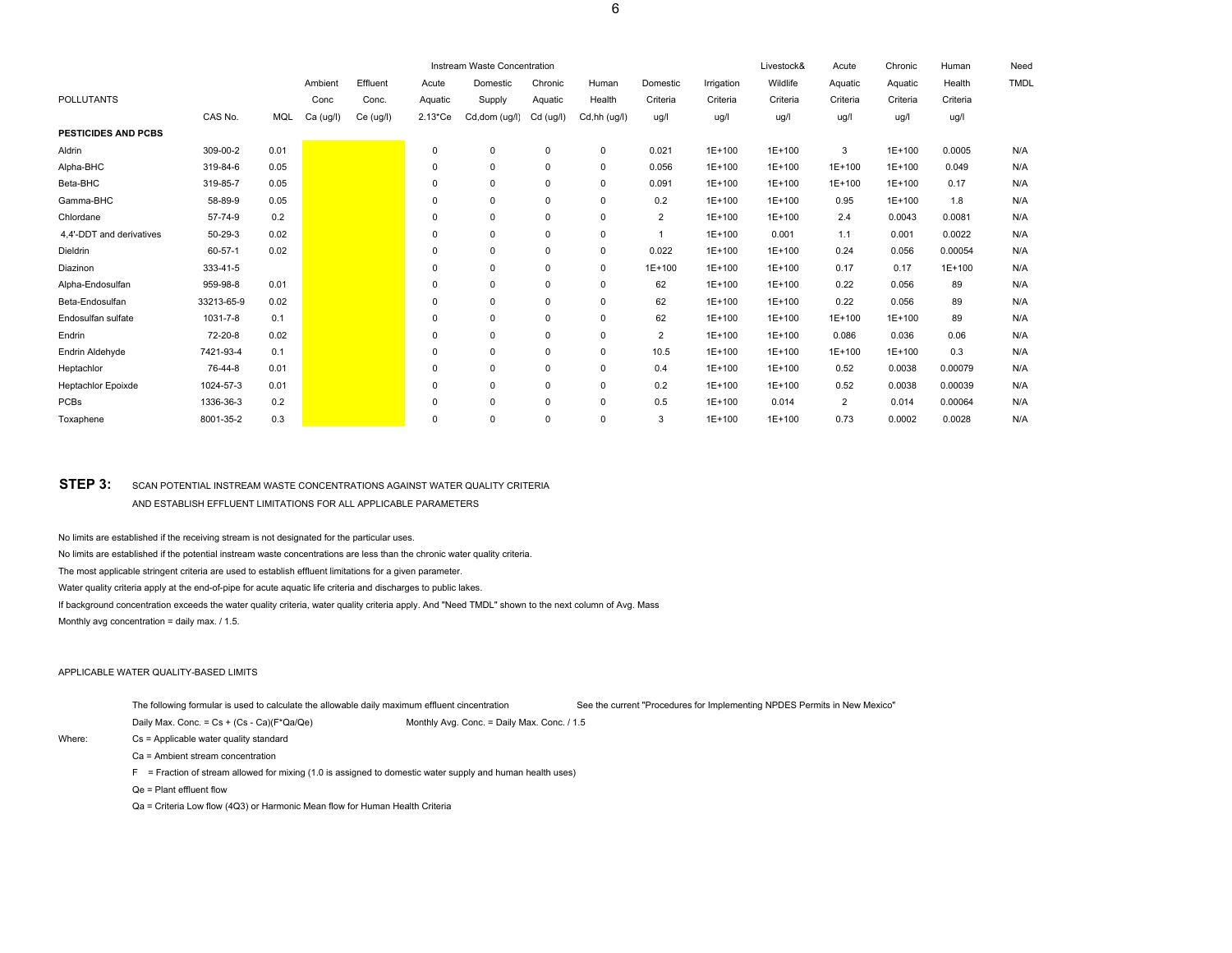| Instream Waste Concentration |            |      |           |           |                        |               |             |              |                |            |          | Acute          | Chronic  | Human    | Need        |
|------------------------------|------------|------|-----------|-----------|------------------------|---------------|-------------|--------------|----------------|------------|----------|----------------|----------|----------|-------------|
|                              |            |      | Ambient   | Effluent  | Acute                  | Domestic      | Chronic     | Human        | Domestic       | Irrigation | Wildlife | Aquatic        | Aquatic  | Health   | <b>TMDL</b> |
| <b>POLLUTANTS</b>            |            |      | Conc      | Conc.     | Aquatic                | Supply        | Aquatic     | Health       | Criteria       | Criteria   | Criteria | Criteria       | Criteria | Criteria |             |
|                              | CAS No.    | MQL  | Ca (ug/l) | Ce (ug/l) | $2.13$ <sup>*</sup> Ce | Cd,dom (ug/l) | Cd (ug/l)   | Cd,hh (ug/l) | ug/l           | ug/l       | ug/l     | ug/l           | ug/l     | ug/l     |             |
| <b>PESTICIDES AND PCBS</b>   |            |      |           |           |                        |               |             |              |                |            |          |                |          |          |             |
| Aldrin                       | 309-00-2   | 0.01 |           |           | 0                      | 0             | 0           | $\mathbf 0$  | 0.021          | $1E+100$   | 1E+100   | 3              | 1E+100   | 0.0005   | N/A         |
| Alpha-BHC                    | 319-84-6   | 0.05 |           |           | $\mathbf 0$            | $\mathbf 0$   | $\pmb{0}$   | $\mathbf 0$  | 0.056          | $1E+100$   | 1E+100   | $1E+100$       | 1E+100   | 0.049    | N/A         |
| Beta-BHC                     | 319-85-7   | 0.05 |           |           | $\Omega$               | 0             | 0           | $\mathbf 0$  | 0.091          | 1E+100     | 1E+100   | 1E+100         | 1E+100   | 0.17     | N/A         |
| Gamma-BHC                    | 58-89-9    | 0.05 |           |           | $\Omega$               | $\mathbf 0$   | $\pmb{0}$   | 0            | 0.2            | 1E+100     | 1E+100   | 0.95           | 1E+100   | 1.8      | N/A         |
| Chlordane                    | 57-74-9    | 0.2  |           |           | $\Omega$               | 0             | 0           | $\mathbf 0$  | $\overline{2}$ | 1E+100     | 1E+100   | 2.4            | 0.0043   | 0.0081   | N/A         |
| 4.4'-DDT and derivatives     | 50-29-3    | 0.02 |           |           | 0                      | 0             | 0           | $\mathbf 0$  | 1              | 1E+100     | 0.001    | 1.1            | 0.001    | 0.0022   | N/A         |
| Dieldrin                     | 60-57-1    | 0.02 |           |           | $\Omega$               | $\mathbf 0$   | $\mathbf 0$ | $\mathbf 0$  | 0.022          | 1E+100     | 1E+100   | 0.24           | 0.056    | 0.00054  | N/A         |
| Diazinon                     | 333-41-5   |      |           |           | $\Omega$               | $\mathbf 0$   | $\mathbf 0$ | $\mathbf 0$  | $1E+100$       | 1E+100     | 1E+100   | 0.17           | 0.17     | 1E+100   | N/A         |
| Alpha-Endosulfan             | 959-98-8   | 0.01 |           |           | $\Omega$               | $\mathbf 0$   | $\mathbf 0$ | $\mathbf 0$  | 62             | 1E+100     | 1E+100   | 0.22           | 0.056    | 89       | N/A         |
| Beta-Endosulfan              | 33213-65-9 | 0.02 |           |           | $\Omega$               | 0             | 0           | $\Omega$     | 62             | 1E+100     | 1E+100   | 0.22           | 0.056    | 89       | N/A         |
| Endosulfan sulfate           | 1031-7-8   | 0.1  |           |           | $\Omega$               | 0             | 0           | $\mathbf 0$  | 62             | 1E+100     | 1E+100   | 1E+100         | 1E+100   | 89       | N/A         |
| Endrin                       | 72-20-8    | 0.02 |           |           | $\Omega$               | 0             | $\pmb{0}$   | $\mathbf 0$  | 2              | 1E+100     | 1E+100   | 0.086          | 0.036    | 0.06     | N/A         |
| Endrin Aldehyde              | 7421-93-4  | 0.1  |           |           | $\Omega$               | $\mathbf 0$   | $\pmb{0}$   | $\mathbf 0$  | 10.5           | 1E+100     | 1E+100   | 1E+100         | $1E+100$ | 0.3      | N/A         |
| Heptachlor                   | 76-44-8    | 0.01 |           |           | 0                      | 0             | 0           | $\mathbf 0$  | 0.4            | 1E+100     | 1E+100   | 0.52           | 0.0038   | 0.00079  | N/A         |
| <b>Heptachlor Epoixde</b>    | 1024-57-3  | 0.01 |           |           | $\Omega$               | $\mathbf 0$   | $\mathbf 0$ | $\mathbf 0$  | 0.2            | $1E+100$   | 1E+100   | 0.52           | 0.0038   | 0.00039  | N/A         |
| PCBs                         | 1336-36-3  | 0.2  |           |           | $\Omega$               | $\Omega$      | $\mathbf 0$ | $\mathbf 0$  | 0.5            | $1E+100$   | 0.014    | $\overline{2}$ | 0.014    | 0.00064  | N/A         |
| Toxaphene                    | 8001-35-2  | 0.3  |           |           | $\Omega$               | $\Omega$      | $\Omega$    | $\Omega$     | 3              | $1E+100$   | $1E+100$ | 0.73           | 0.0002   | 0.0028   | N/A         |

# **STEP 3:** SCAN POTENTIAL INSTREAM WASTE CONCENTRATIONS AGAINST WATER QUALITY CRITERIA AND ESTABLISH EFFLUENT LIMITATIONS FOR ALL APPLICABLE PARAMETERS

No limits are established if the receiving stream is not designated for the particular uses.

No limits are established if the potential instream waste concentrations are less than the chronic water quality criteria.

The most applicable stringent criteria are used to establish effluent limitations for a given parameter.

Water quality criteria apply at the end-of-pipe for acute aquatic life criteria and discharges to public lakes.

If background concentration exceeds the water quality criteria, water quality criteria apply. And "Need TMDL" shown to the next column of Avg. Mass

Monthly avg concentration = daily max. / 1.5.

### APPLICABLE WATER QUALITY-BASED LIMITS

| The following formular is used to calculate the allowable daily maximum effluent cincentration |                                             | See the current "Procedures for Implementing NPDES Permits in New Mexico" |  |
|------------------------------------------------------------------------------------------------|---------------------------------------------|---------------------------------------------------------------------------|--|
| Daily Max. Conc. = $Cs + (Cs - Ca)(F^*Qa/Qe)$                                                  | Monthly Avg. Conc. = Daily Max. Conc. / 1.5 |                                                                           |  |

Where: Cs = Applicable water quality standard

Ca = Ambient stream concentration

F = Fraction of stream allowed for mixing (1.0 is assigned to domestic water supply and human health uses)

Qe = Plant effluent flow

Qa = Criteria Low flow (4Q3) or Harmonic Mean flow for Human Health Criteria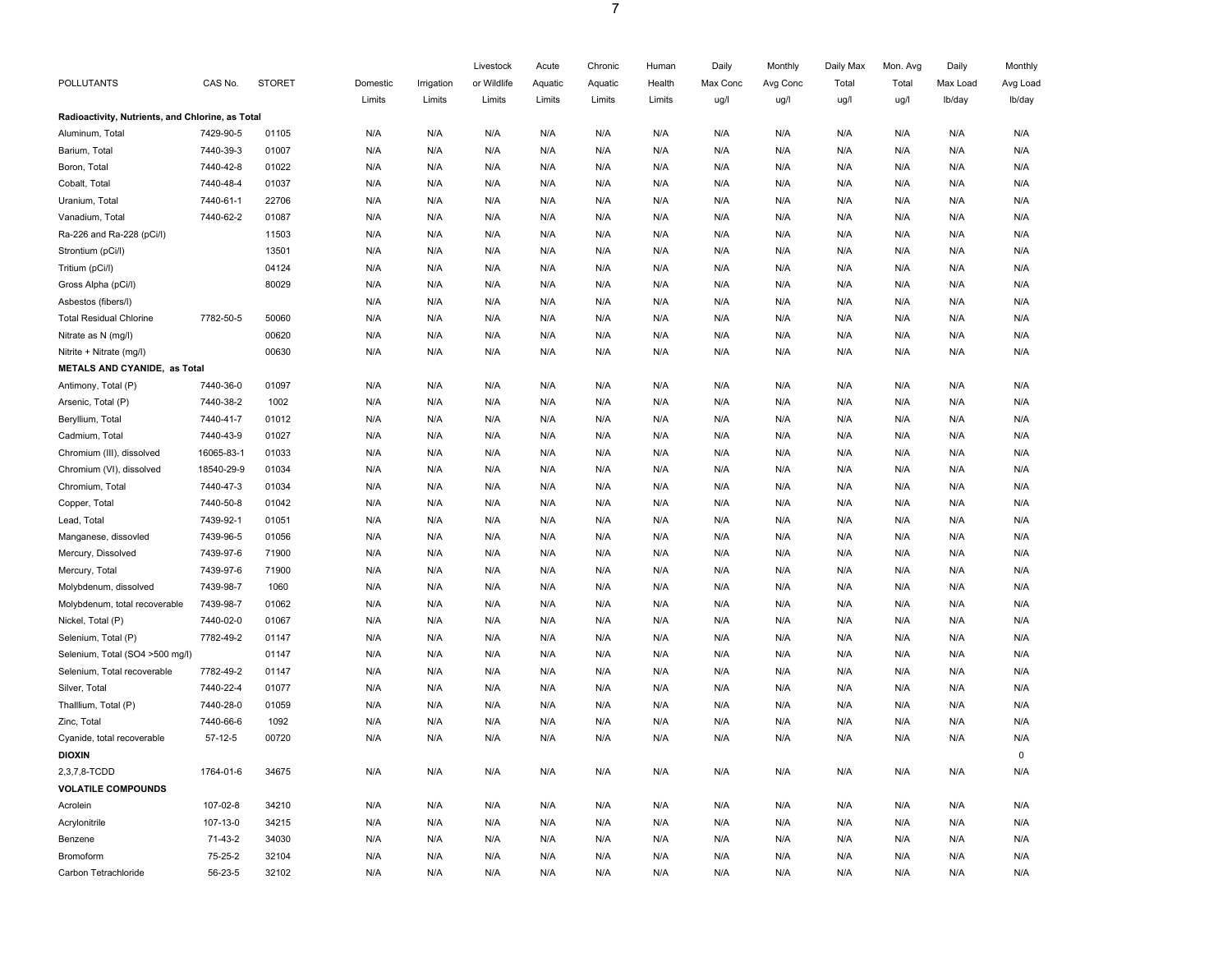|                                                  |            |               |          |            | Livestock   | Acute   | Chronic | Human  | Daily    | Monthly  | Daily Max | Mon. Avg | Daily    | Monthly  |
|--------------------------------------------------|------------|---------------|----------|------------|-------------|---------|---------|--------|----------|----------|-----------|----------|----------|----------|
| POLLUTANTS                                       | CAS No.    | <b>STORET</b> | Domestic | Irrigation | or Wildlife | Aquatic | Aquatic | Health | Max Conc | Avg Conc | Total     | Total    | Max Load | Avg Load |
|                                                  |            |               | Limits   | Limits     | Limits      | Limits  | Limits  | Limits | ug/l     | ug/l     | ug/l      | ug/l     | Ib/day   | lb/day   |
| Radioactivity, Nutrients, and Chlorine, as Total |            |               |          |            |             |         |         |        |          |          |           |          |          |          |
| Aluminum, Total                                  | 7429-90-5  | 01105         | N/A      | N/A        | N/A         | N/A     | N/A     | N/A    | N/A      | N/A      | N/A       | N/A      | N/A      | N/A      |
| Barium, Total                                    | 7440-39-3  | 01007         | N/A      | N/A        | N/A         | N/A     | N/A     | N/A    | N/A      | N/A      | N/A       | N/A      | N/A      | N/A      |
| Boron, Total                                     | 7440-42-8  | 01022         | N/A      | N/A        | N/A         | N/A     | N/A     | N/A    | N/A      | N/A      | N/A       | N/A      | N/A      | N/A      |
| Cobalt, Total                                    | 7440-48-4  | 01037         | N/A      | N/A        | N/A         | N/A     | N/A     | N/A    | N/A      | N/A      | N/A       | N/A      | N/A      | N/A      |
| Uranium, Total                                   | 7440-61-1  | 22706         | N/A      | N/A        | N/A         | N/A     | N/A     | N/A    | N/A      | N/A      | N/A       | N/A      | N/A      | N/A      |
| Vanadium, Total                                  | 7440-62-2  | 01087         | N/A      | N/A        | N/A         | N/A     | N/A     | N/A    | N/A      | N/A      | N/A       | N/A      | N/A      | N/A      |
| Ra-226 and Ra-228 (pCi/l)                        |            | 11503         | N/A      | N/A        | N/A         | N/A     | N/A     | N/A    | N/A      | N/A      | N/A       | N/A      | N/A      | N/A      |
| Strontium (pCi/l)                                |            | 13501         | N/A      | N/A        | N/A         | N/A     | N/A     | N/A    | N/A      | N/A      | N/A       | N/A      | N/A      | N/A      |
| Tritium (pCi/l)                                  |            | 04124         | N/A      | N/A        | N/A         | N/A     | N/A     | N/A    | N/A      | N/A      | N/A       | N/A      | N/A      | N/A      |
| Gross Alpha (pCi/l)                              |            | 80029         | N/A      | N/A        | N/A         | N/A     | N/A     | N/A    | N/A      | N/A      | N/A       | N/A      | N/A      | N/A      |
| Asbestos (fibers/l)                              |            |               | N/A      | N/A        | N/A         | N/A     | N/A     | N/A    | N/A      | N/A      | N/A       | N/A      | N/A      | N/A      |
| <b>Total Residual Chlorine</b>                   | 7782-50-5  | 50060         | N/A      | N/A        | N/A         | N/A     | N/A     | N/A    | N/A      | N/A      | N/A       | N/A      | N/A      | N/A      |
| Nitrate as N (mg/l)                              |            | 00620         | N/A      | N/A        | N/A         | N/A     | N/A     | N/A    | N/A      | N/A      | N/A       | N/A      | N/A      | N/A      |
| Nitrite + Nitrate (mg/l)                         |            | 00630         | N/A      | N/A        | N/A         | N/A     | N/A     | N/A    | N/A      | N/A      | N/A       | N/A      | N/A      | N/A      |
| METALS AND CYANIDE, as Total                     |            |               |          |            |             |         |         |        |          |          |           |          |          |          |
| Antimony, Total (P)                              | 7440-36-0  | 01097         | N/A      | N/A        | N/A         | N/A     | N/A     | N/A    | N/A      | N/A      | N/A       | N/A      | N/A      | N/A      |
| Arsenic, Total (P)                               | 7440-38-2  | 1002          | N/A      | N/A        | N/A         | N/A     | N/A     | N/A    | N/A      | N/A      | N/A       | N/A      | N/A      | N/A      |
| Beryllium, Total                                 | 7440-41-7  | 01012         | N/A      | N/A        | N/A         | N/A     | N/A     | N/A    | N/A      | N/A      | N/A       | N/A      | N/A      | N/A      |
| Cadmium, Total                                   | 7440-43-9  | 01027         | N/A      | N/A        | N/A         | N/A     | N/A     | N/A    | N/A      | N/A      | N/A       | N/A      | N/A      | N/A      |
| Chromium (III), dissolved                        | 16065-83-1 | 01033         | N/A      | N/A        | N/A         | N/A     | N/A     | N/A    | N/A      | N/A      | N/A       | N/A      | N/A      | N/A      |
| Chromium (VI), dissolved                         | 18540-29-9 | 01034         | N/A      | N/A        | N/A         | N/A     | N/A     | N/A    | N/A      | N/A      | N/A       | N/A      | N/A      | N/A      |
| Chromium, Total                                  | 7440-47-3  | 01034         | N/A      | N/A        | N/A         | N/A     | N/A     | N/A    | N/A      | N/A      | N/A       | N/A      | N/A      | N/A      |
| Copper, Total                                    | 7440-50-8  | 01042         | N/A      | N/A        | N/A         | N/A     | N/A     | N/A    | N/A      | N/A      | N/A       | N/A      | N/A      | N/A      |
| Lead, Total                                      | 7439-92-1  | 01051         | N/A      | N/A        | N/A         | N/A     | N/A     | N/A    | N/A      | N/A      | N/A       | N/A      | N/A      | N/A      |
| Manganese, dissovled                             | 7439-96-5  | 01056         | N/A      | N/A        | N/A         | N/A     | N/A     | N/A    | N/A      | N/A      | N/A       | N/A      | N/A      | N/A      |
| Mercury, Dissolved                               | 7439-97-6  | 71900         | N/A      | N/A        | N/A         | N/A     | N/A     | N/A    | N/A      | N/A      | N/A       | N/A      | N/A      | N/A      |
| Mercury, Total                                   | 7439-97-6  | 71900         | N/A      | N/A        | N/A         | N/A     | N/A     | N/A    | N/A      | N/A      | N/A       | N/A      | N/A      | N/A      |
| Molybdenum, dissolved                            | 7439-98-7  | 1060          | N/A      | N/A        | N/A         | N/A     | N/A     | N/A    | N/A      | N/A      | N/A       | N/A      | N/A      | N/A      |
| Molybdenum, total recoverable                    | 7439-98-7  | 01062         | N/A      | N/A        | N/A         | N/A     | N/A     | N/A    | N/A      | N/A      | N/A       | N/A      | N/A      | N/A      |
| Nickel, Total (P)                                | 7440-02-0  | 01067         | N/A      | N/A        | N/A         | N/A     | N/A     | N/A    | N/A      | N/A      | N/A       | N/A      | N/A      | N/A      |
| Selenium, Total (P)                              | 7782-49-2  | 01147         | N/A      | N/A        | N/A         | N/A     | N/A     | N/A    | N/A      | N/A      | N/A       | N/A      | N/A      | N/A      |
| Selenium, Total (SO4 >500 mg/l)                  |            | 01147         | N/A      | N/A        | N/A         | N/A     | N/A     | N/A    | N/A      | N/A      | N/A       | N/A      | N/A      | N/A      |
| Selenium, Total recoverable                      | 7782-49-2  | 01147         | N/A      | N/A        | N/A         | N/A     | N/A     | N/A    | N/A      | N/A      | N/A       | N/A      | N/A      | N/A      |
| Silver, Total                                    | 7440-22-4  | 01077         | N/A      | N/A        | N/A         | N/A     | N/A     | N/A    | N/A      | N/A      | N/A       | N/A      | N/A      | N/A      |
| Thalllium, Total (P)                             | 7440-28-0  | 01059         | N/A      | N/A        | N/A         | N/A     | N/A     | N/A    | N/A      | N/A      | N/A       | N/A      | N/A      | N/A      |
| Zinc, Total                                      | 7440-66-6  | 1092          | N/A      | N/A        | N/A         | N/A     | N/A     | N/A    | N/A      | N/A      | N/A       | N/A      | N/A      | N/A      |
| Cyanide, total recoverable                       | 57-12-5    | 00720         | N/A      | N/A        | N/A         | N/A     | N/A     | N/A    | N/A      | N/A      | N/A       | N/A      | N/A      | N/A      |
| <b>DIOXIN</b>                                    |            |               |          |            |             |         |         |        |          |          |           |          |          | $\Omega$ |
| 2,3,7,8-TCDD                                     | 1764-01-6  | 34675         | N/A      | N/A        | N/A         | N/A     | N/A     | N/A    | N/A      | N/A      | N/A       | N/A      | N/A      | N/A      |
| <b>VOLATILE COMPOUNDS</b>                        |            |               |          |            |             |         |         |        |          |          |           |          |          |          |
| Acrolein                                         | 107-02-8   | 34210         | N/A      | N/A        | N/A         | N/A     | N/A     | N/A    | N/A      | N/A      | N/A       | N/A      | N/A      | N/A      |
| Acrylonitrile                                    | 107-13-0   | 34215         | N/A      | N/A        | N/A         | N/A     | N/A     | N/A    | N/A      | N/A      | N/A       | N/A      | N/A      | N/A      |
| Benzene                                          | 71-43-2    | 34030         | N/A      | N/A        | N/A         | N/A     | N/A     | N/A    | N/A      | N/A      | N/A       | N/A      | N/A      | N/A      |
| <b>Bromoform</b>                                 | 75-25-2    | 32104         | N/A      | N/A        | N/A         | N/A     | N/A     | N/A    | N/A      | N/A      | N/A       | N/A      | N/A      | N/A      |
| Carbon Tetrachloride                             | 56-23-5    | 32102         | N/A      | N/A        | N/A         | N/A     | N/A     | N/A    | N/A      | N/A      | N/A       | N/A      | N/A      | N/A      |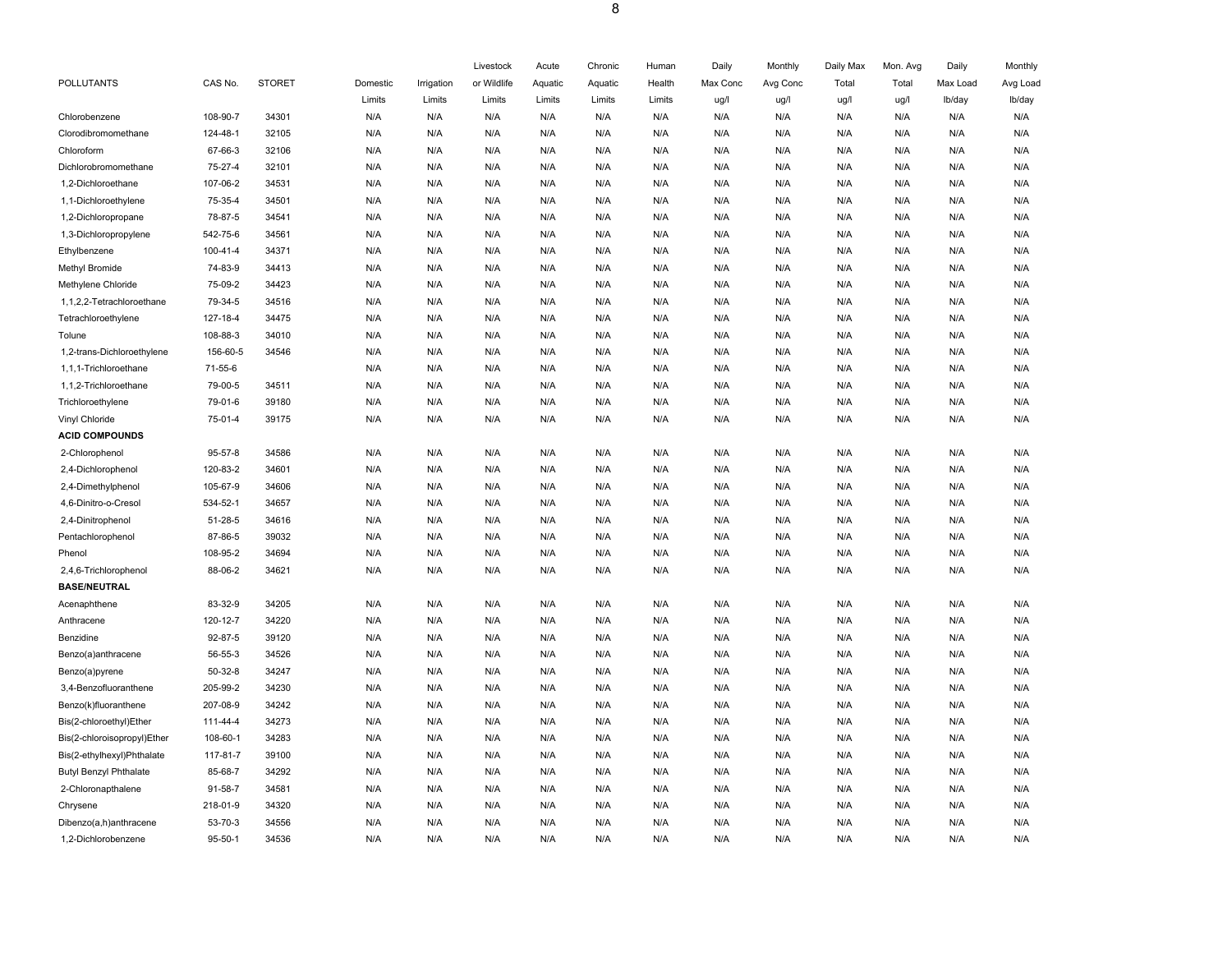|                               |               |               |          |            | Livestock   | Acute   | Chronic | Human  | Daily    | Monthly  | Daily Max | Mon. Avg | Daily    | Monthly  |
|-------------------------------|---------------|---------------|----------|------------|-------------|---------|---------|--------|----------|----------|-----------|----------|----------|----------|
| POLLUTANTS                    | CAS No.       | <b>STORET</b> | Domestic | Irrigation | or Wildlife | Aquatic | Aquatic | Health | Max Conc | Avg Conc | Total     | Total    | Max Load | Avg Load |
|                               |               |               | Limits   | Limits     | Limits      | Limits  | Limits  | Limits | ug/l     | ug/l     | ug/l      | ug/l     | Ib/day   | lb/day   |
| Chlorobenzene                 | 108-90-7      | 34301         | N/A      | N/A        | N/A         | N/A     | N/A     | N/A    | N/A      | N/A      | N/A       | N/A      | N/A      | N/A      |
| Clorodibromomethane           | 124-48-1      | 32105         | N/A      | N/A        | N/A         | N/A     | N/A     | N/A    | N/A      | N/A      | N/A       | N/A      | N/A      | N/A      |
| Chloroform                    | 67-66-3       | 32106         | N/A      | N/A        | N/A         | N/A     | N/A     | N/A    | N/A      | N/A      | N/A       | N/A      | N/A      | N/A      |
| Dichlorobromomethane          | 75-27-4       | 32101         | N/A      | N/A        | N/A         | N/A     | N/A     | N/A    | N/A      | N/A      | N/A       | N/A      | N/A      | N/A      |
| 1,2-Dichloroethane            | 107-06-2      | 34531         | N/A      | N/A        | N/A         | N/A     | N/A     | N/A    | N/A      | N/A      | N/A       | N/A      | N/A      | N/A      |
| 1,1-Dichloroethylene          | 75-35-4       | 34501         | N/A      | N/A        | N/A         | N/A     | N/A     | N/A    | N/A      | N/A      | N/A       | N/A      | N/A      | N/A      |
| 1,2-Dichloropropane           | 78-87-5       | 34541         | N/A      | N/A        | N/A         | N/A     | N/A     | N/A    | N/A      | N/A      | N/A       | N/A      | N/A      | N/A      |
| 1,3-Dichloropropylene         | 542-75-6      | 34561         | N/A      | N/A        | N/A         | N/A     | N/A     | N/A    | N/A      | N/A      | N/A       | N/A      | N/A      | N/A      |
| Ethylbenzene                  | 100-41-4      | 34371         | N/A      | N/A        | N/A         | N/A     | N/A     | N/A    | N/A      | N/A      | N/A       | N/A      | N/A      | N/A      |
| Methyl Bromide                | 74-83-9       | 34413         | N/A      | N/A        | N/A         | N/A     | N/A     | N/A    | N/A      | N/A      | N/A       | N/A      | N/A      | N/A      |
| Methylene Chloride            | 75-09-2       | 34423         | N/A      | N/A        | N/A         | N/A     | N/A     | N/A    | N/A      | N/A      | N/A       | N/A      | N/A      | N/A      |
| 1,1,2,2-Tetrachloroethane     | 79-34-5       | 34516         | N/A      | N/A        | N/A         | N/A     | N/A     | N/A    | N/A      | N/A      | N/A       | N/A      | N/A      | N/A      |
| Tetrachloroethylene           | 127-18-4      | 34475         | N/A      | N/A        | N/A         | N/A     | N/A     | N/A    | N/A      | N/A      | N/A       | N/A      | N/A      | N/A      |
| Tolune                        | 108-88-3      | 34010         | N/A      | N/A        | N/A         | N/A     | N/A     | N/A    | N/A      | N/A      | N/A       | N/A      | N/A      | N/A      |
| 1,2-trans-Dichloroethylene    | 156-60-5      | 34546         | N/A      | N/A        | N/A         | N/A     | N/A     | N/A    | N/A      | N/A      | N/A       | N/A      | N/A      | N/A      |
| 1,1,1-Trichloroethane         | 71-55-6       |               | N/A      | N/A        | N/A         | N/A     | N/A     | N/A    | N/A      | N/A      | N/A       | N/A      | N/A      | N/A      |
| 1,1,2-Trichloroethane         | 79-00-5       | 34511         | N/A      | N/A        | N/A         | N/A     | N/A     | N/A    | N/A      | N/A      | N/A       | N/A      | N/A      | N/A      |
| Trichloroethylene             | 79-01-6       | 39180         | N/A      | N/A        | N/A         | N/A     | N/A     | N/A    | N/A      | N/A      | N/A       | N/A      | N/A      | N/A      |
| Vinyl Chloride                | 75-01-4       | 39175         | N/A      | N/A        | N/A         | N/A     | N/A     | N/A    | N/A      | N/A      | N/A       | N/A      | N/A      | N/A      |
| <b>ACID COMPOUNDS</b>         |               |               |          |            |             |         |         |        |          |          |           |          |          |          |
| 2-Chlorophenol                | $95 - 57 - 8$ | 34586         | N/A      | N/A        | N/A         | N/A     | N/A     | N/A    | N/A      | N/A      | N/A       | N/A      | N/A      | N/A      |
| 2,4-Dichlorophenol            | 120-83-2      | 34601         | N/A      | N/A        | N/A         | N/A     | N/A     | N/A    | N/A      | N/A      | N/A       | N/A      | N/A      | N/A      |
| 2,4-Dimethylphenol            | 105-67-9      | 34606         | N/A      | N/A        | N/A         | N/A     | N/A     | N/A    | N/A      | N/A      | N/A       | N/A      | N/A      | N/A      |
| 4,6-Dinitro-o-Cresol          | 534-52-1      | 34657         | N/A      | N/A        | N/A         | N/A     | N/A     | N/A    | N/A      | N/A      | N/A       | N/A      | N/A      | N/A      |
| 2,4-Dinitrophenol             | 51-28-5       | 34616         | N/A      | N/A        | N/A         | N/A     | N/A     | N/A    | N/A      | N/A      | N/A       | N/A      | N/A      | N/A      |
| Pentachlorophenol             | 87-86-5       | 39032         | N/A      | N/A        | N/A         | N/A     | N/A     | N/A    | N/A      | N/A      | N/A       | N/A      | N/A      | N/A      |
| Phenol                        | 108-95-2      | 34694         | N/A      | N/A        | N/A         | N/A     | N/A     | N/A    | N/A      | N/A      | N/A       | N/A      | N/A      | N/A      |
| 2,4,6-Trichlorophenol         | 88-06-2       | 34621         | N/A      | N/A        | N/A         | N/A     | N/A     | N/A    | N/A      | N/A      | N/A       | N/A      | N/A      | N/A      |
| <b>BASE/NEUTRAL</b>           |               |               |          |            |             |         |         |        |          |          |           |          |          |          |
| Acenaphthene                  | 83-32-9       | 34205         | N/A      | N/A        | N/A         | N/A     | N/A     | N/A    | N/A      | N/A      | N/A       | N/A      | N/A      | N/A      |
| Anthracene                    | 120-12-7      | 34220         | N/A      | N/A        | N/A         | N/A     | N/A     | N/A    | N/A      | N/A      | N/A       | N/A      | N/A      | N/A      |
| Benzidine                     | 92-87-5       | 39120         | N/A      | N/A        | N/A         | N/A     | N/A     | N/A    | N/A      | N/A      | N/A       | N/A      | N/A      | N/A      |
| Benzo(a)anthracene            | 56-55-3       | 34526         | N/A      | N/A        | N/A         | N/A     | N/A     | N/A    | N/A      | N/A      | N/A       | N/A      | N/A      | N/A      |
| Benzo(a)pyrene                | $50-32-8$     | 34247         | N/A      | N/A        | N/A         | N/A     | N/A     | N/A    | N/A      | N/A      | N/A       | N/A      | N/A      | N/A      |
| 3,4-Benzofluoranthene         | 205-99-2      | 34230         | N/A      | N/A        | N/A         | N/A     | N/A     | N/A    | N/A      | N/A      | N/A       | N/A      | N/A      | N/A      |
| Benzo(k)fluoranthene          | 207-08-9      | 34242         | N/A      | N/A        | N/A         | N/A     | N/A     | N/A    | N/A      | N/A      | N/A       | N/A      | N/A      | N/A      |
| Bis(2-chloroethyl)Ether       | 111-44-4      | 34273         | N/A      | N/A        | N/A         | N/A     | N/A     | N/A    | N/A      | N/A      | N/A       | N/A      | N/A      | N/A      |
| Bis(2-chloroisopropyl)Ether   | 108-60-1      | 34283         | N/A      | N/A        | N/A         | N/A     | N/A     | N/A    | N/A      | N/A      | N/A       | N/A      | N/A      | N/A      |
| Bis(2-ethylhexyl)Phthalate    | 117-81-7      | 39100         | N/A      | N/A        | N/A         | N/A     | N/A     | N/A    | N/A      | N/A      | N/A       | N/A      | N/A      | N/A      |
| <b>Butyl Benzyl Phthalate</b> | 85-68-7       | 34292         | N/A      | N/A        | N/A         | N/A     | N/A     | N/A    | N/A      | N/A      | N/A       | N/A      | N/A      | N/A      |
| 2-Chloronapthalene            | 91-58-7       | 34581         | N/A      | N/A        | N/A         | N/A     | N/A     | N/A    | N/A      | N/A      | N/A       | N/A      | N/A      | N/A      |
| Chrysene                      | 218-01-9      | 34320         | N/A      | N/A        | N/A         | N/A     | N/A     | N/A    | N/A      | N/A      | N/A       | N/A      | N/A      | N/A      |
| Dibenzo(a,h)anthracene        | 53-70-3       | 34556         | N/A      | N/A        | N/A         | N/A     | N/A     | N/A    | N/A      | N/A      | N/A       | N/A      | N/A      | N/A      |
| 1,2-Dichlorobenzene           | $95 - 50 - 1$ | 34536         | N/A      | N/A        | N/A         | N/A     | N/A     | N/A    | N/A      | N/A      | N/A       | N/A      | N/A      | N/A      |